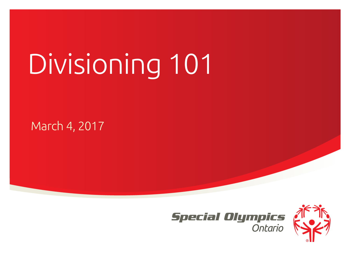# Divisioning 101

March 4, 2017



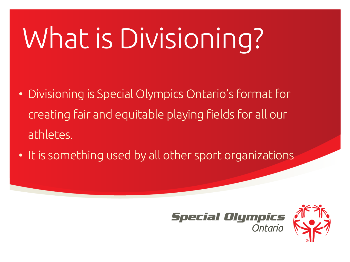### What is Divisioning?

- Divisioning is Special Olympics Ontario's format for creating fair and equitable playing fields for all our athletes.
- It is something used by all other sport organizations



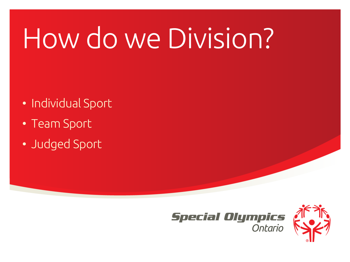### How do we Division?

- Individual Sport
- Team Sport
- Judged Sport



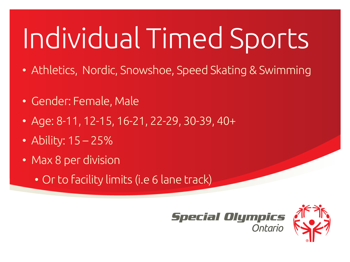# Individual Timed Sports

- Athletics, Nordic, Snowshoe, Speed Skating & Swimming
- Gender: Female, Male
- Age: 8-11, 12-15, 16-21, 22-29, 30-39, 40+
- Ability: 15 25%
- Max 8 per division
	- Or to facility limits (i.e 6 lane track)



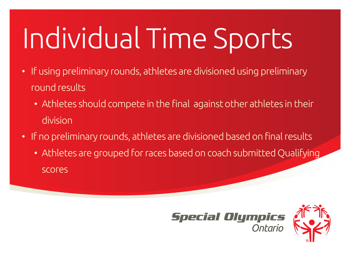# Individual Time Sports

- If using preliminary rounds, athletes are divisioned using preliminary round results
	- Athletes should compete in the final against other athletes in their division
- If no preliminary rounds, athletes are divisioned based on final results
	- Athletes are grouped for races based on coach submitted Qualifying scores



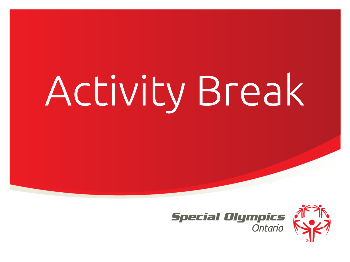# Activity Break



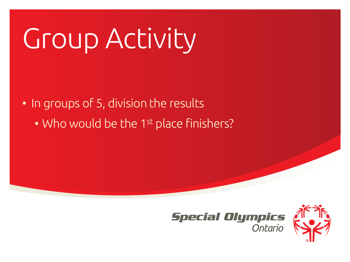### Group Activity

• In groups of 5, division the results

• Who would be the 1<sup>st</sup> place finishers?



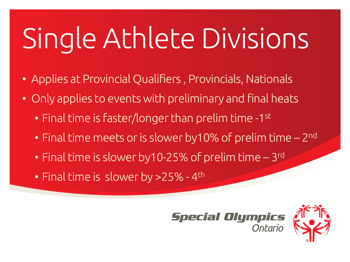# Single Athlete Divisions

- Applies at Provincial Qualifiers , Provincials, Nationals
- Only applies to events with preliminary and final heats
	- Final time is faster/longer than prelim time -1st
	- Final time meets or is slower by10% of prelim time 2<sup>nd</sup>
	- Final time is slower by 10-25% of prelim time 3rd
	- Final time is slower by >25% 4<sup>th</sup>



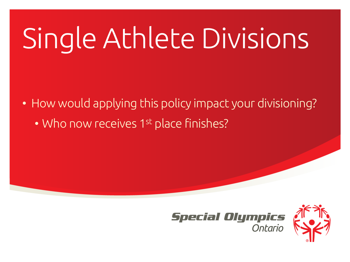# Single Athlete Divisions

• How would applying this policy impact your divisioning?

• Who now receives 1st place finishes?



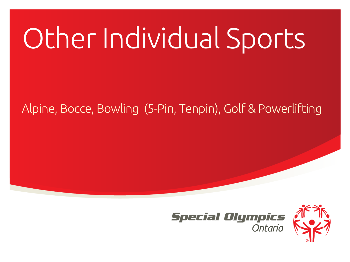#### Alpine, Bocce, Bowling (5-Pin, Tenpin), Golf & Powerlifting



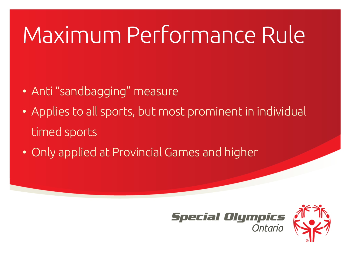### Maximum Performance Rule

- Anti "sandbagging" measure
- Applies to all sports, but most prominent in individual timed sports
- Only applied at Provincial Games and higher



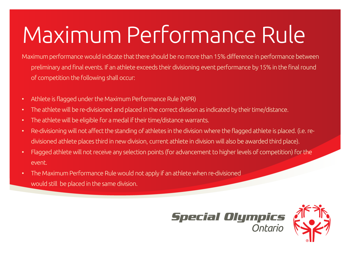### Maximum Performance Rule

Maximum performance would indicate that there should be no more than 15% difference in performance between preliminary and final events. If an athlete exceeds their divisioning event performance by 15% in the final round of competition the following shall occur:

- Athlete is flagged under the Maximum Performance Rule (MPR)
- The athlete will be re-divisioned and placed in the correct division as indicated by their time/distance.
- The athlete will be eligible for a medal if their time/distance warrants.
- Re-divisioning will not affect the standing of athletes in the division where the flagged athlete is placed. (i.e. redivisioned athlete places third in new division, current athlete in division will also be awarded third place).
- Flagged athlete will not receive any selection points (for advancement to higher levels of competition) for the event.
- The Maximum Performance Rule would not apply if an athlete when re-divisioned would still be placed in the same division.



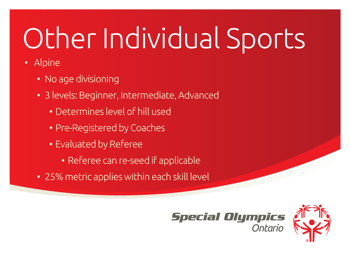- Alpine
	- No age divisioning
	- 3 levels: Beginner, Intermediate, Advanced
		- Determines level of hill used
		- Pre-Registered by Coaches
		- Evaluated by Referee
			- Referee can re-seed if applicable
	- 25% metric applies within each skill level



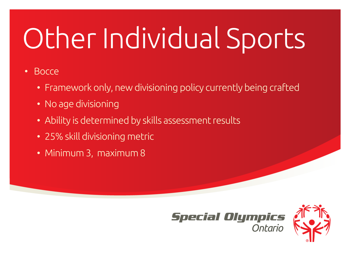#### • Bocce

- Framework only, new divisioning policy currently being crafted
- No age divisioning
- Ability is determined by skills assessment results
- 25% skill divisioning metric
- Minimum 3, maximum 8



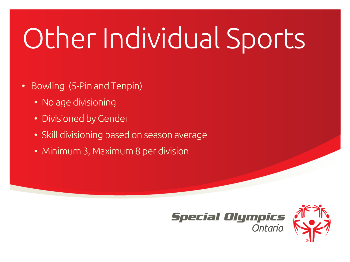- Bowling (5-Pin and Tenpin)
	- No age divisioning
	- Divisioned by Gender
	- Skill divisioning based on season average
	- Minimum 3, Maximum 8 per division



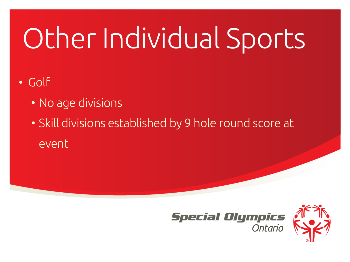#### • Golf

- No age divisions
- Skill divisions established by 9 hole round score at event



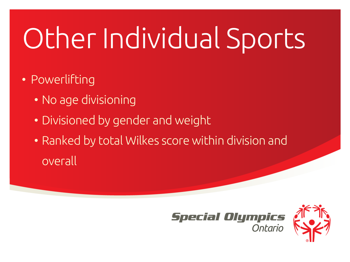- Powerlifting
	- No age divisioning
	- Divisioned by gender and weight
	- Ranked by total Wilkes score within division and overall



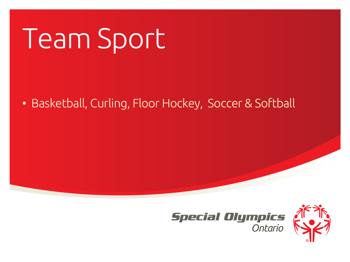### Team Sport

#### • Basketball, Curling, Floor Hockey, Soccer & Softball



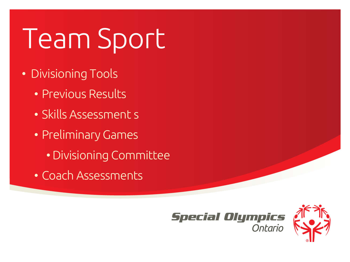### Team Sport

- Divisioning Tools
	- Previous Results
	- Skills Assessment s
	- Preliminary Games
		- Divisioning Committee
	- Coach Assessments



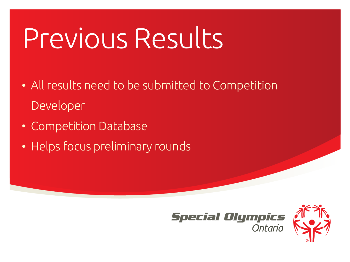### Previous Results

- All results need to be submitted to Competition Developer
- Competition Database
- Helps focus preliminary rounds



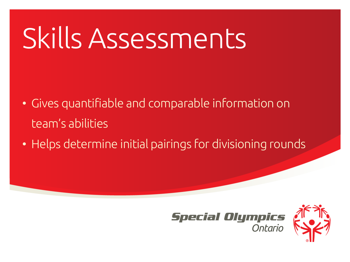### Skills Assessments

- Gives quantifiable and comparable information on team's abilities
- Helps determine initial pairings for divisioning rounds



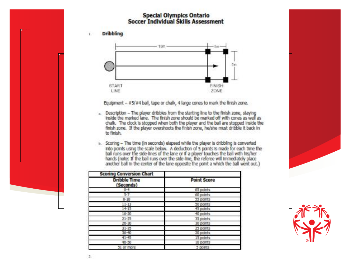#### **Special Olympics Ontario Soccer Individual Skills Assessment**

**Dribbling** L.



Equipment - #5/#4 ball, tape or chalk, 4 large cones to mark the finish zone.

- . Description The player dribbles from the starting line to the finish zone, staying Inside the marked lane. The finish zone should be marked off with cones as well as chalk. The clock is stopped when both the player and the ball are stopped inside the finish zone. If the player overshoots the finish zone, he/she must dribble it back in to finish.
- b. Scoring The time (in seconds) elapsed while the player is dribbling is converted into points using the scale below. A deduction of 5 points is made for each time the ball runs over the side-lines of the lane or if a player touches the ball with his/her hands (note: If the ball runs over the side-line, the referee will immediately place another ball in the center of the lane opposite the point a which the ball went out.)

| <b>Scoring Conversion Chart</b>  |                    |
|----------------------------------|--------------------|
| <b>Dribble Time</b><br>(Seconds) | <b>Point Score</b> |
| $0 - 4$                          | 05 points          |
| 57                               | 60 points          |
| $B-10$                           | 55 points          |
| $11 - 13$                        | 50 points          |
| $14 - 15$                        | 45 points          |
| $16 - 20$                        | 40 points          |
| $21 - 25$                        | 35 points          |
| $26 - 30$                        | 30 points          |
| $31 - 35$                        | 25 points          |
| 36-40                            | 20 points          |
| $41 - 45$                        | 15 points          |
| $46 - 50$                        | 10 points          |
| 51 or more                       | 5 points           |

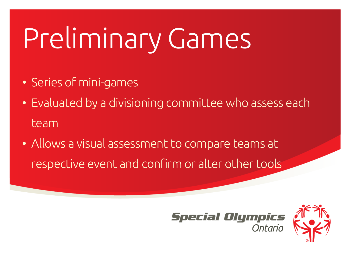### Preliminary Games

- Series of mini-games
- Evaluated by a divisioning committee who assess each team
- Allows a visual assessment to compare teams at respective event and confirm or alter other tools



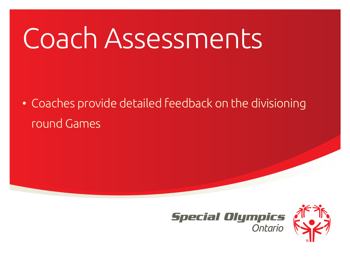### Coach Assessments

• Coaches provide detailed feedback on the divisioning round Games